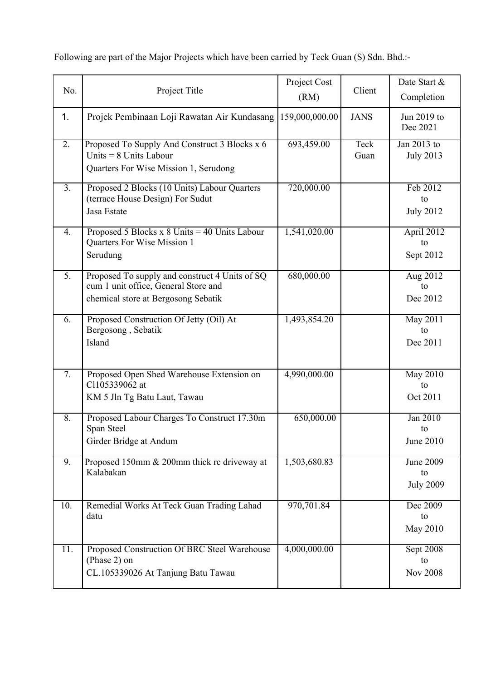|                  |                                                                                                                               | Project Cost   |              | Date Start &                               |
|------------------|-------------------------------------------------------------------------------------------------------------------------------|----------------|--------------|--------------------------------------------|
| No.              | Project Title                                                                                                                 | (RM)           | Client       | Completion                                 |
| 1.               | Projek Pembinaan Loji Rawatan Air Kundasang                                                                                   | 159,000,000.00 | <b>JANS</b>  | Jun 2019 to<br>Dec 2021                    |
| 2.               | Proposed To Supply And Construct 3 Blocks x 6<br>Units $= 8$ Units Labour<br>Quarters For Wise Mission 1, Serudong            | 693,459.00     | Teck<br>Guan | Jan 2013 to<br><b>July 2013</b>            |
| 3.               | Proposed 2 Blocks (10 Units) Labour Quarters<br>(terrace House Design) For Sudut<br>Jasa Estate                               | 720,000.00     |              | Feb 2012<br>to<br><b>July 2012</b>         |
| 4.               | Proposed 5 Blocks x 8 Units = 40 Units Labour<br>Quarters For Wise Mission 1<br>Serudung                                      | 1,541,020.00   |              | April 2012<br>to<br>Sept 2012              |
| $\overline{5}$ . | Proposed To supply and construct 4 Units of SQ<br>cum 1 unit office, General Store and<br>chemical store at Bergosong Sebatik | 680,000.00     |              | Aug 2012<br>to<br>Dec 2012                 |
| 6.               | Proposed Construction Of Jetty (Oil) At<br>Bergosong, Sebatik<br>Island                                                       | 1,493,854.20   |              | May 2011<br>to<br>Dec 2011                 |
| 7.               | Proposed Open Shed Warehouse Extension on<br>Cl105339062 at<br>KM 5 Jln Tg Batu Laut, Tawau                                   | 4,990,000.00   |              | May 2010<br>to<br>Oct 2011                 |
| 8.               | Proposed Labour Charges To Construct 17.30m<br>Span Steel<br>Girder Bridge at Andum                                           | 650,000.00     |              | Jan 2010<br>to<br><b>June 2010</b>         |
| 9.               | Proposed 150mm & 200mm thick rc driveway at<br>Kalabakan                                                                      | 1,503,680.83   |              | <b>June 2009</b><br>to<br><b>July 2009</b> |
| 10.              | Remedial Works At Teck Guan Trading Lahad<br>datu                                                                             | 970,701.84     |              | Dec 2009<br>to<br>May 2010                 |
| 11.              | Proposed Construction Of BRC Steel Warehouse<br>(Phase 2) on<br>CL.105339026 At Tanjung Batu Tawau                            | 4,000,000.00   |              | <b>Sept 2008</b><br>to<br><b>Nov 2008</b>  |

Following are part of the Major Projects which have been carried by Teck Guan (S) Sdn. Bhd.:-